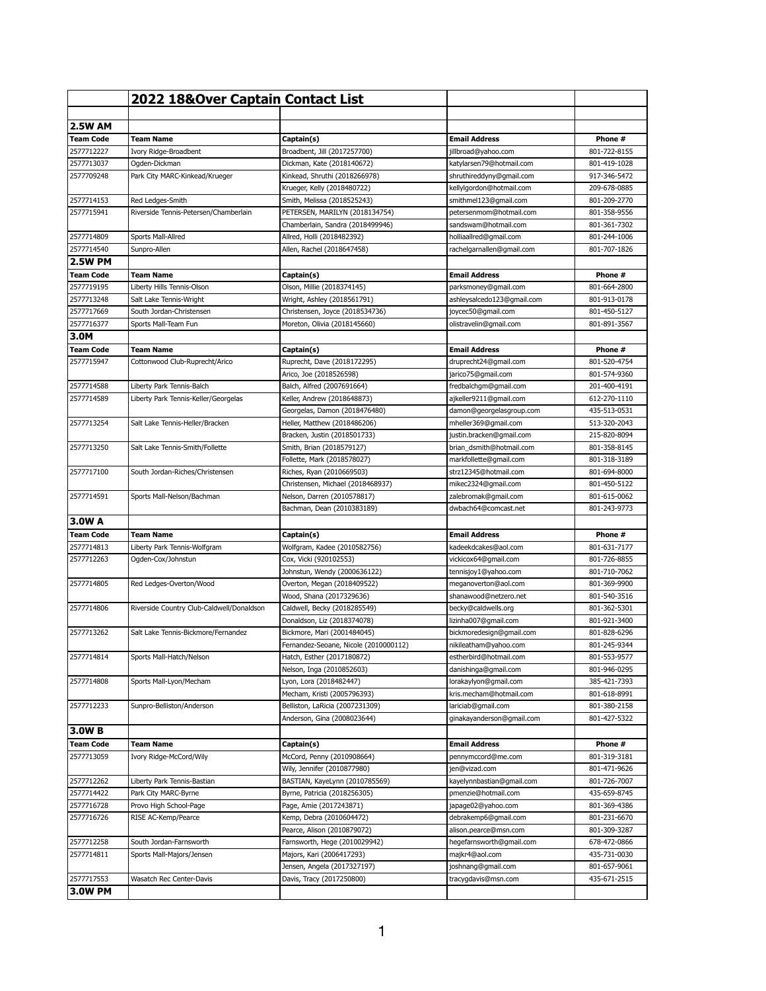|                                | 2022 18&Over Captain Contact List         |                                            |                                                 |                              |
|--------------------------------|-------------------------------------------|--------------------------------------------|-------------------------------------------------|------------------------------|
|                                |                                           |                                            |                                                 |                              |
| <b>2.5W AM</b>                 |                                           |                                            |                                                 |                              |
| <b>Team Code</b><br>2577712227 | Team Name                                 | Captain(s)<br>Broadbent, Jill (2017257700) | <b>Email Address</b>                            | Phone #                      |
| 2577713037                     | Ivory Ridge-Broadbent<br>Ogden-Dickman    | Dickman, Kate (2018140672)                 | jillbroad@yahoo.com<br>katylarsen79@hotmail.com | 801-722-8155<br>801-419-1028 |
| 2577709248                     | Park City MARC-Kinkead/Krueger            | Kinkead, Shruthi (2018266978)              | shruthireddyny@gmail.com                        | 917-346-5472                 |
|                                |                                           | Krueger, Kelly (2018480722)                | kellylgordon@hotmail.com                        | 209-678-0885                 |
| 2577714153                     | Red Ledges-Smith                          | Smith, Melissa (2018525243)                | smithmel123@gmail.com                           | 801-209-2770                 |
| 2577715941                     | Riverside Tennis-Petersen/Chamberlain     | PETERSEN, MARILYN (2018134754)             | petersenmom@hotmail.com                         | 801-358-9556                 |
|                                |                                           | Chamberlain, Sandra (2018499946)           | sandswam@hotmail.com                            | 801-361-7302                 |
| 2577714809                     | Sports Mall-Allred                        | Allred, Holli (2018482392)                 | holliaallred@gmail.com                          | 801-244-1006                 |
| 2577714540                     | Sunpro-Allen                              | Allen, Rachel (2018647458)                 | rachelgarnallen@gmail.com                       | 801-707-1826                 |
| <b>2.5W PM</b>                 |                                           |                                            |                                                 |                              |
| <b>Team Code</b>               | Team Name                                 | Captain(s)                                 | <b>Email Address</b>                            | Phone #                      |
| 2577719195                     | Liberty Hills Tennis-Olson                | Olson, Millie (2018374145)                 | parksmoney@gmail.com                            | 801-664-2800                 |
| 2577713248                     | Salt Lake Tennis-Wright                   | Wright, Ashley (2018561791)                | ashleysalcedo123@gmail.com                      | 801-913-0178                 |
| 2577717669                     | South Jordan-Christensen                  | Christensen, Joyce (2018534736)            | joycec50@gmail.com                              | 801-450-5127                 |
| 2577716377                     | Sports Mall-Team Fun                      | Moreton, Olivia (2018145660)               | olistravelin@gmail.com                          | 801-891-3567                 |
| 3.0M                           |                                           |                                            |                                                 |                              |
| <b>Team Code</b>               | Team Name                                 | Captain(s)                                 | <b>Email Address</b>                            | Phone #                      |
| 2577715947                     | Cottonwood Club-Ruprecht/Arico            | Ruprecht, Dave (2018172295)                | druprecht24@gmail.com                           | 801-520-4754                 |
|                                |                                           | Arico, Joe (2018526598)                    | jarico75@gmail.com                              | 801-574-9360                 |
| 2577714588                     | Liberty Park Tennis-Balch                 | Balch, Alfred (2007691664)                 | fredbalchgm@gmail.com                           | 201-400-4191                 |
| 2577714589                     | Liberty Park Tennis-Keller/Georgelas      | Keller, Andrew (2018648873)                | ajkeller9211@gmail.com                          | 612-270-1110                 |
|                                |                                           | Georgelas, Damon (2018476480)              | damon@georgelasgroup.com                        | 435-513-0531                 |
| 2577713254                     | Salt Lake Tennis-Heller/Bracken           | Heller, Matthew (2018486206)               | mheller369@gmail.com                            | 513-320-2043                 |
|                                |                                           | Bracken, Justin (2018501733)               | justin.bracken@gmail.com                        | 215-820-8094                 |
| 2577713250                     | Salt Lake Tennis-Smith/Follette           | Smith, Brian (2018579127)                  | brian_dsmith@hotmail.com                        | 801-358-8145                 |
|                                |                                           | Follette, Mark (2018578027)                | markfollette@gmail.com                          | 801-318-3189                 |
| 2577717100                     | South Jordan-Riches/Christensen           | Riches, Ryan (2010669503)                  | strz12345@hotmail.com                           | 801-694-8000                 |
|                                |                                           | Christensen, Michael (2018468937)          | mikec2324@gmail.com                             | 801-450-5122                 |
| 2577714591                     | Sports Mall-Nelson/Bachman                | Nelson, Darren (2010578817)                | zalebromak@gmail.com                            | 801-615-0062                 |
| 3.0W A                         |                                           | Bachman, Dean (2010383189)                 | dwbach64@comcast.net                            | 801-243-9773                 |
|                                |                                           |                                            | <b>Email Address</b>                            | Phone #                      |
| <b>Team Code</b><br>2577714813 | Team Name<br>Liberty Park Tennis-Wolfgram | Captain(s)<br>Wolfgram, Kadee (2010582756) | kadeekdcakes@aol.com                            | 801-631-7177                 |
| 2577712263                     | Ogden-Cox/Johnstun                        | Cox, Vicki (920102553)                     | vickicox64@gmail.com                            | 801-726-8855                 |
|                                |                                           | Johnstun, Wendy (2000636122)               | tennisjoy1@yahoo.com                            | 801-710-7062                 |
| 2577714805                     | Red Ledges-Overton/Wood                   | Overton, Megan (2018409522)                | meganoverton@aol.com                            | 801-369-9900                 |
|                                | Riverside Country Club-Caldwell/Donaldson | Wood, Shana (2017329636)                   | shanawood@netzero.net                           | 801-540-3516                 |
| 2577714806                     |                                           | Caldwell, Becky (2018285549)               | becky@caldwells.org                             | 801-362-5301                 |
|                                |                                           | Donaldson, Liz (2018374078)                | lizinha007@gmail.com                            | 801-921-3400                 |
| 2577713262                     | Salt Lake Tennis-Bickmore/Fernandez       | Bickmore, Mari (2001484045)                | bickmoredesign@gmail.com                        | 801-828-6296                 |
|                                |                                           | Fernandez-Seoane, Nicole (2010000112)      | nikileatham@yahoo.com                           | 801-245-9344                 |
| 2577714814                     | Sports Mall-Hatch/Nelson                  | Hatch, Esther (2017180872)                 | estherbird@hotmail.com                          | 801-553-9577                 |
|                                |                                           | Nelson, Inga (2010852603)                  | danishinga@gmail.com                            | 801-946-0295                 |
| 2577714808                     | Sports Mall-Lyon/Mecham                   | Lyon, Lora (2018482447)                    | lorakaylyon@gmail.com                           | 385-421-7393                 |
|                                |                                           | Mecham, Kristi (2005796393)                | kris.mecham@hotmail.com                         | 801-618-8991                 |
| 2577712233                     | Sunpro-Belliston/Anderson                 | Belliston, LaRicia (2007231309)            | lariciab@gmail.com                              | 801-380-2158                 |
|                                |                                           | Anderson, Gina (2008023644)                | ginakayanderson@gmail.com                       | 801-427-5322                 |
| 3.0W B                         |                                           |                                            |                                                 |                              |
| <b>Team Code</b>               | <b>Team Name</b>                          | Captain(s)                                 | <b>Email Address</b>                            | Phone #                      |
| 2577713059                     | Ivory Ridge-McCord/Wily                   | McCord, Penny (2010908664)                 | pennymccord@me.com                              | 801-319-3181                 |
|                                |                                           | Wily, Jennifer (2010877980)                | jen@vizad.com                                   | 801-471-9626                 |
| 2577712262                     | Liberty Park Tennis-Bastian               | BASTIAN, KayeLynn (2010785569)             | kayelynnbastian@gmail.com                       | 801-726-7007                 |
| 2577714422                     | Park City MARC-Byrne                      | Byrne, Patricia (2018256305)               | pmenzie@hotmail.com                             | 435-659-8745                 |
| 2577716728                     | Provo High School-Page                    | Page, Amie (2017243871)                    | japage02@yahoo.com                              | 801-369-4386                 |
| 2577716726                     | RISE AC-Kemp/Pearce                       | Kemp, Debra (2010604472)                   | debrakemp6@gmail.com                            | 801-231-6670                 |
|                                |                                           | Pearce, Alison (2010879072)                | alison.pearce@msn.com                           | 801-309-3287                 |
| 2577712258                     | South Jordan-Farnsworth                   | Farnsworth, Hege (2010029942)              | hegefarnsworth@gmail.com                        | 678-472-0866                 |
| 2577714811                     | Sports Mall-Majors/Jensen                 | Majors, Kari (2006417293)                  | majkr4@aol.com                                  | 435-731-0030                 |
|                                |                                           | Jensen, Angela (2017327197)                | joshnang@gmail.com                              | 801-657-9061                 |
| 2577717553                     | Wasatch Rec Center-Davis                  | Davis, Tracy (2017250800)                  | tracygdavis@msn.com                             | 435-671-2515                 |
| <b>3.0W PM</b>                 |                                           |                                            |                                                 |                              |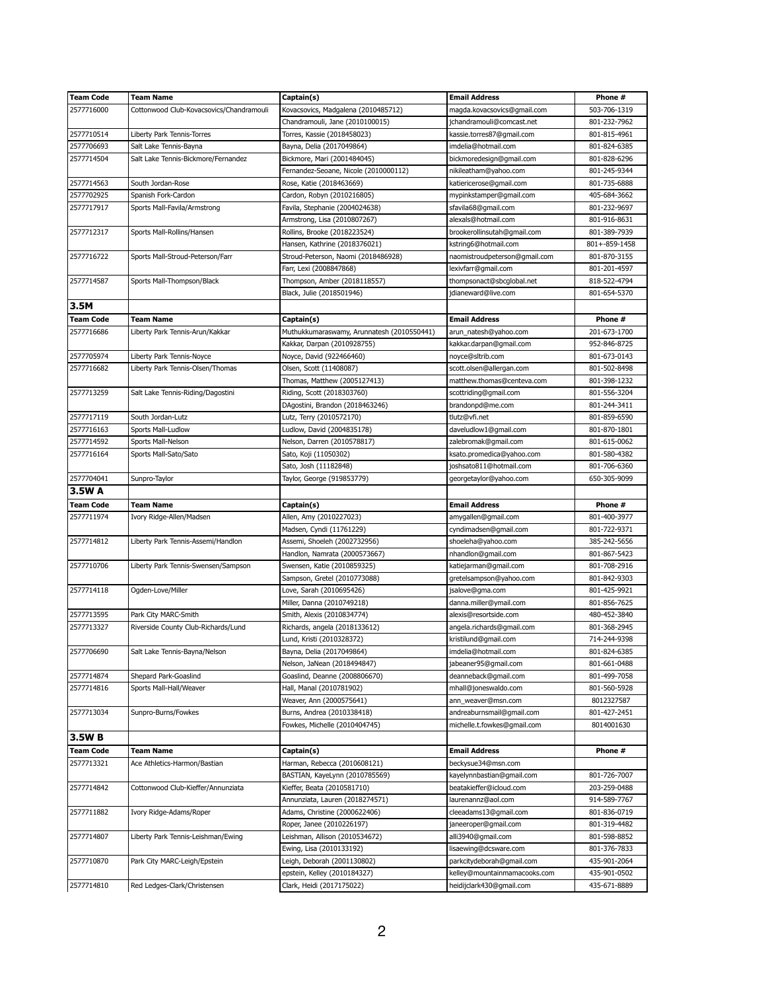| <b>Team Code</b> | Team Name                                | Captain(s)                                                | <b>Email Address</b>                                     | Phone #                      |
|------------------|------------------------------------------|-----------------------------------------------------------|----------------------------------------------------------|------------------------------|
| 2577716000       | Cottonwood Club-Kovacsovics/Chandramouli | Kovacsovics, Madgalena (2010485712)                       | magda.kovacsovics@gmail.com                              | 503-706-1319                 |
|                  |                                          | Chandramouli, Jane (2010100015)                           | jchandramouli@comcast.net                                | 801-232-7962                 |
| 2577710514       | Liberty Park Tennis-Torres               | Torres, Kassie (2018458023)                               | kassie.torres87@gmail.com                                | 801-815-4961                 |
| 2577706693       | Salt Lake Tennis-Bayna                   | Bayna, Delia (2017049864)                                 | imdelia@hotmail.com                                      | 801-824-6385                 |
| 2577714504       | Salt Lake Tennis-Bickmore/Fernandez      | Bickmore, Mari (2001484045)                               | bickmoredesign@gmail.com                                 | 801-828-6296                 |
|                  |                                          | Fernandez-Seoane, Nicole (2010000112)                     | nikileatham@yahoo.com                                    | 801-245-9344                 |
| 2577714563       | South Jordan-Rose                        | Rose, Katie (2018463669)                                  | katiericerose@gmail.com                                  | 801-735-6888                 |
| 2577702925       | Spanish Fork-Cardon                      | Cardon, Robyn (2010216805)                                | mypinkstamper@gmail.com                                  | 405-684-3662                 |
| 2577717917       | Sports Mall-Favila/Armstrong             | Favila, Stephanie (2004024638)                            | sfavila68@gmail.com                                      | 801-232-9697                 |
|                  |                                          | Armstrong, Lisa (2010807267)                              | alexals@hotmail.com                                      | 801-916-8631                 |
| 2577712317       | Sports Mall-Rollins/Hansen               | Rollins, Brooke (2018223524)                              | brookerollinsutah@gmail.com                              | 801-389-7939                 |
|                  |                                          | Hansen, Kathrine (2018376021)                             | kstring6@hotmail.com                                     | 801+-859-1458                |
| 2577716722       | Sports Mall-Stroud-Peterson/Farr         | Stroud-Peterson, Naomi (2018486928)                       | naomistroudpeterson@gmail.com                            | 801-870-3155                 |
|                  |                                          | Farr, Lexi (2008847868)                                   | lexivfarr@gmail.com                                      | 801-201-4597                 |
| 2577714587       | Sports Mall-Thompson/Black               | Thompson, Amber (2018118557)                              | thompsonact@sbcglobal.net                                | 818-522-4794                 |
|                  |                                          |                                                           |                                                          |                              |
|                  |                                          | Black, Julie (2018501946)                                 | jdianeward@live.com                                      | 801-654-5370                 |
| 3.5M             |                                          |                                                           |                                                          |                              |
| <b>Team Code</b> | <b>Team Name</b>                         | Captain(s)                                                | <b>Email Address</b>                                     | Phone #                      |
| 2577716686       | Liberty Park Tennis-Arun/Kakkar          | Muthukkumaraswamy, Arunnatesh (2010550441)                | arun_natesh@yahoo.com                                    | 201-673-1700                 |
|                  |                                          | Kakkar, Darpan (2010928755)                               | kakkar.darpan@gmail.com                                  | 952-846-8725                 |
| 2577705974       | Liberty Park Tennis-Noyce                | Noyce, David (922466460)                                  | noyce@sltrib.com                                         | 801-673-0143                 |
| 2577716682       | Liberty Park Tennis-Olsen/Thomas         | Olsen, Scott (11408087)                                   | scott.olsen@allergan.com                                 | 801-502-8498                 |
|                  |                                          | Thomas, Matthew (2005127413)                              | matthew.thomas@centeva.com                               | 801-398-1232                 |
| 2577713259       | Salt Lake Tennis-Riding/Dagostini        | Riding, Scott (2018303760)                                | scottriding@gmail.com                                    | 801-556-3204                 |
|                  |                                          | DAgostini, Brandon (2018463246)                           | brandonpd@me.com                                         | 801-244-3411                 |
| 2577717119       | South Jordan-Lutz                        | Lutz, Terry (2010572170)                                  | tlutz@vfi.net                                            | 801-859-6590                 |
| 2577716163       | Sports Mall-Ludlow                       | Ludlow, David (2004835178)                                | daveludlow1@gmail.com                                    | 801-870-1801                 |
| 2577714592       | Sports Mall-Nelson                       | Nelson, Darren (2010578817)                               | zalebromak@gmail.com                                     | 801-615-0062                 |
| 2577716164       | Sports Mall-Sato/Sato                    | Sato, Koji (11050302)                                     | ksato.promedica@yahoo.com                                | 801-580-4382                 |
|                  |                                          | Sato, Josh (11182848)                                     | joshsato811@hotmail.com                                  | 801-706-6360                 |
| 2577704041       | Sunpro-Taylor                            | Taylor, George (919853779)                                | georgetaylor@yahoo.com                                   | 650-305-9099                 |
| 3.5W A           |                                          |                                                           |                                                          |                              |
| <b>Team Code</b> | <b>Team Name</b>                         | Captain(s)                                                | <b>Email Address</b>                                     | Phone #                      |
| 2577711974       | Ivory Ridge-Allen/Madsen                 | Allen, Amy (2010227023)                                   | amygallen@gmail.com                                      | 801-400-3977                 |
|                  |                                          | Madsen, Cyndi (11761229)                                  | cyndimadsen@gmail.com                                    | 801-722-9371                 |
| 2577714812       | Liberty Park Tennis-Assemi/Handlon       | Assemi, Shoeleh (2002732956)                              | shoeleha@yahoo.com                                       | 385-242-5656                 |
|                  |                                          | Handlon, Namrata (2000573667)                             | nhandlon@gmail.com                                       | 801-867-5423                 |
| 2577710706       | Liberty Park Tennis-Swensen/Sampson      | Swensen, Katie (2010859325)                               | katiejarman@gmail.com                                    | 801-708-2916                 |
|                  |                                          |                                                           |                                                          |                              |
|                  |                                          | Sampson, Gretel (2010773088)                              | gretelsampson@yahoo.com                                  | 801-842-9303                 |
| 2577714118       | Ogden-Love/Miller                        | Love, Sarah (2010695426)                                  | jsalove@gma.com                                          | 801-425-9921                 |
|                  |                                          | Miller, Danna (2010749218)                                | danna.miller@ymail.com                                   | 801-856-7625                 |
| 2577713595       | Park City MARC-Smith                     | Smith, Alexis (2010834774)                                | alexis@resortside.com                                    | 480-452-3840                 |
| 2577713327       | Riverside County Club-Richards/Lund      | Richards, angela (2018133612)                             | angela.richards@gmail.com                                | 801-368-2945                 |
|                  |                                          | Lund, Kristi (2010328372)                                 | kristilund@gmail.com                                     | 714-244-9398                 |
| 2577706690       | Salt Lake Tennis-Bayna/Nelson            | Bayna, Delia (2017049864)                                 | imdelia@hotmail.com                                      | 801-824-6385                 |
|                  |                                          | Nelson, JaNean (2018494847)                               | jabeaner95@gmail.com                                     | 801-661-0488                 |
| 2577714874       | Shepard Park-Goaslind                    | Goaslind, Deanne (2008806670)                             | deanneback@gmail.com                                     | 801-499-7058                 |
| 2577714816       | Sports Mall-Hall/Weaver                  | Hall, Manal (2010781902)                                  | mhall@joneswaldo.com                                     | 801-560-5928                 |
|                  |                                          | Weaver, Ann (2000575641)                                  | ann_weaver@msn.com                                       | 8012327587                   |
| 2577713034       | Sunpro-Burns/Fowkes                      | Burns, Andrea (2010338418)                                | andreaburnsmail@gmail.com                                | 801-427-2451                 |
|                  |                                          |                                                           |                                                          |                              |
| 3.5W B           |                                          | Fowkes, Michelle (2010404745)                             | michelle.t.fowkes@gmail.com                              | 8014001630                   |
| <b>Team Code</b> |                                          |                                                           |                                                          |                              |
| 2577713321       |                                          |                                                           |                                                          |                              |
|                  | Team Name                                | Captain(s)                                                | <b>Email Address</b>                                     | Phone #                      |
|                  | Ace Athletics-Harmon/Bastian             | Harman, Rebecca (2010608121)                              | beckysue34@msn.com                                       |                              |
|                  |                                          | BASTIAN, KayeLynn (2010785569)                            | kayelynnbastian@gmail.com                                | 801-726-7007                 |
| 2577714842       | Cottonwood Club-Kieffer/Annunziata       | Kieffer, Beata (2010581710)                               | beatakieffer@icloud.com                                  | 203-259-0488                 |
|                  |                                          | Annunziata, Lauren (2018274571)                           | laurenannz@aol.com                                       | 914-589-7767                 |
| 2577711882       | Ivory Ridge-Adams/Roper                  | Adams, Christine (2000622406)                             | cleeadams13@gmail.com                                    | 801-836-0719                 |
|                  |                                          | Roper, Janee (2010226197)                                 | janeeroper@gmail.com                                     | 801-319-4482                 |
| 2577714807       | Liberty Park Tennis-Leishman/Ewing       | Leishman, Allison (2010534672)                            | alli3940@gmail.com                                       | 801-598-8852                 |
|                  |                                          | Ewing, Lisa (2010133192)                                  | lisaewing@dcsware.com                                    | 801-376-7833                 |
| 2577710870       | Park City MARC-Leigh/Epstein             | Leigh, Deborah (2001130802)                               | parkcitydeborah@gmail.com                                | 435-901-2064                 |
| 2577714810       | Red Ledges-Clark/Christensen             | epstein, Kelley (2010184327)<br>Clark, Heidi (2017175022) | kelley@mountainmamacooks.com<br>heidijclark430@gmail.com | 435-901-0502<br>435-671-8889 |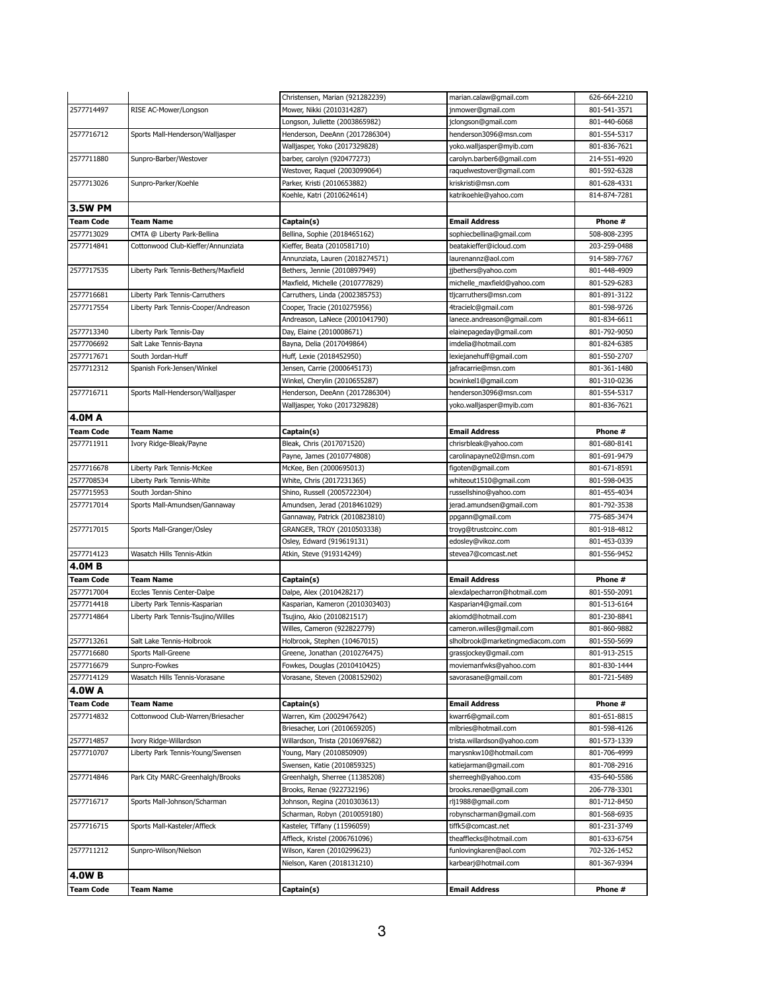|                          |                                      | Christensen, Marian (921282239)                         | marian.calaw@gmail.com                          | 626-664-2210                 |
|--------------------------|--------------------------------------|---------------------------------------------------------|-------------------------------------------------|------------------------------|
| 2577714497               | RISE AC-Mower/Longson                | Mower, Nikki (2010314287)                               | jnmower@gmail.com                               | 801-541-3571                 |
|                          |                                      | Longson, Juliette (2003865982)                          | jclongson@gmail.com                             | 801-440-6068                 |
| 2577716712               | Sports Mall-Henderson/Walljasper     | Henderson, DeeAnn (2017286304)                          | henderson3096@msn.com                           | 801-554-5317                 |
|                          |                                      | Walljasper, Yoko (2017329828)                           | yoko.walljasper@myib.com                        | 801-836-7621                 |
| 2577711880               | Sunpro-Barber/Westover               | barber, carolyn (920477273)                             | carolyn.barber6@gmail.com                       | 214-551-4920                 |
|                          |                                      | Westover, Raquel (2003099064)                           | raquelwestover@gmail.com                        | 801-592-6328                 |
| 2577713026               | Sunpro-Parker/Koehle                 | Parker, Kristi (2010653882)                             | kriskristi@msn.com                              | 801-628-4331                 |
|                          |                                      | Koehle, Katri (2010624614)                              | katrikoehle@yahoo.com                           | 814-874-7281                 |
| <b>3.5W PM</b>           |                                      |                                                         |                                                 |                              |
| <b>Team Code</b>         | <b>Team Name</b>                     | Captain(s)                                              | <b>Email Address</b>                            | Phone #                      |
| 2577713029               | CMTA @ Liberty Park-Bellina          | Bellina, Sophie (2018465162)                            | sophiecbellina@gmail.com                        | 508-808-2395                 |
| 2577714841               | Cottonwood Club-Kieffer/Annunziata   | Kieffer, Beata (2010581710)                             | beatakieffer@icloud.com                         | 203-259-0488                 |
|                          |                                      | Annunziata, Lauren (2018274571)                         | laurenannz@aol.com                              | 914-589-7767                 |
| 2577717535               | Liberty Park Tennis-Bethers/Maxfield | Bethers, Jennie (2010897949)                            | jjbethers@yahoo.com                             | 801-448-4909                 |
|                          |                                      | Maxfield, Michelle (2010777829)                         | michelle_maxfield@yahoo.com                     | 801-529-6283                 |
| 2577716681               | Liberty Park Tennis-Carruthers       | Carruthers, Linda (2002385753)                          | tljcarruthers@msn.com                           | 801-891-3122                 |
| 2577717554               | Liberty Park Tennis-Cooper/Andreason | Cooper, Tracie (2010275956)                             | 4tracielc@gmail.com                             | 801-598-9726                 |
|                          |                                      | Andreason, LaNece (2001041790)                          | lanece.andreason@gmail.com                      | 801-834-6611                 |
| 2577713340               | Liberty Park Tennis-Day              | Day, Elaine (2010008671)                                | elainepageday@gmail.com                         | 801-792-9050                 |
| 2577706692               | Salt Lake Tennis-Bayna               | Bayna, Delia (2017049864)                               | imdelia@hotmail.com                             | 801-824-6385                 |
| 2577717671               | South Jordan-Huff                    | Huff, Lexie (2018452950)                                | lexiejanehuff@gmail.com                         | 801-550-2707                 |
| 2577712312               | Spanish Fork-Jensen/Winkel           | Jensen, Carrie (2000645173)                             | jafracarrie@msn.com                             | 801-361-1480                 |
|                          |                                      | Winkel, Cherylin (2010655287)                           | bcwinkel1@gmail.com                             | 801-310-0236                 |
| 2577716711               | Sports Mall-Henderson/Walljasper     | Henderson, DeeAnn (2017286304)                          | henderson3096@msn.com                           | 801-554-5317                 |
|                          |                                      | Walljasper, Yoko (2017329828)                           | yoko.walljasper@myib.com                        | 801-836-7621                 |
| <b>4.0MA</b>             |                                      |                                                         |                                                 |                              |
| <b>Team Code</b>         | <b>Team Name</b>                     | Captain(s)                                              | <b>Email Address</b>                            | Phone #                      |
| 2577711911               | Ivory Ridge-Bleak/Payne              | Bleak, Chris (2017071520)                               | chrisrbleak@yahoo.com                           | 801-680-8141                 |
|                          |                                      | Payne, James (2010774808)                               | carolinapayne02@msn.com                         | 801-691-9479                 |
| 2577716678               | Liberty Park Tennis-McKee            | McKee, Ben (2000695013)                                 | figoten@gmail.com                               | 801-671-8591                 |
| 2577708534               | Liberty Park Tennis-White            | White, Chris (2017231365)                               | whiteout1510@gmail.com                          | 801-598-0435                 |
| 2577715953               | South Jordan-Shino                   | Shino, Russell (2005722304)                             | russellshino@yahoo.com                          | 801-455-4034                 |
| 2577717014               | Sports Mall-Amundsen/Gannaway        | Amundsen, Jerad (2018461029)                            | jerad.amundsen@gmail.com                        | 801-792-3538                 |
|                          |                                      | Gannaway, Patrick (2010823810)                          | ppgann@gmail.com                                | 775-685-3474                 |
| 2577717015               | Sports Mall-Granger/Osley            | GRANGER, TROY (2010503338)                              | troyg@trustcoinc.com                            | 801-918-4812                 |
|                          |                                      | Osley, Edward (919619131)                               | edosley@vikoz.com                               | 801-453-0339                 |
| 2577714123               | Wasatch Hills Tennis-Atkin           | Atkin, Steve (919314249)                                | stevea7@comcast.net                             | 801-556-9452                 |
| <b>4.0MB</b>             |                                      |                                                         |                                                 |                              |
| <b>Team Code</b>         | <b>Team Name</b>                     | Captain(s)                                              | <b>Email Address</b>                            | Phone #                      |
| 2577717004               | Eccles Tennis Center-Dalpe           | Dalpe, Alex (2010428217)                                | alexdalpecharron@hotmail.com                    | 801-550-2091                 |
| 2577714418               | Liberty Park Tennis-Kasparian        | Kasparian, Kameron (2010303403)                         | Kasparian4@gmail.com                            | 801-513-6164                 |
| 2577714864               | Liberty Park Tennis-Tsujino/Willes   | Tsujino, Akio (2010821517)                              | akiomd@hotmail.com                              | 801-230-8841                 |
|                          |                                      | Willes, Cameron (922822779)                             | cameron.willes@gmail.com                        | 801-860-9882                 |
| 2577713261               | Salt Lake Tennis-Holbrook            | Holbrook, Stephen (10467015)                            | slholbrook@marketingmediacom.com                | 801-550-5699                 |
| 2577716680               | Sports Mall-Greene                   | Greene, Jonathan (2010276475)                           | grassjockey@gmail.com                           | 801-913-2515                 |
| 2577716679<br>2577714129 | Sunpro-Fowkes                        | Fowkes, Douglas (2010410425)                            | moviemanfwks@yahoo.com                          | 801-830-1444                 |
| <b>4.0W A</b>            | Wasatch Hills Tennis-Vorasane        | Vorasane, Steven (2008152902)                           | savorasane@gmail.com                            | 801-721-5489                 |
|                          |                                      |                                                         |                                                 |                              |
| <b>Team Code</b>         | <b>Team Name</b>                     | Captain(s)                                              | <b>Email Address</b>                            | Phone #                      |
| 2577714832               | Cottonwood Club-Warren/Briesacher    | Warren, Kim (2002947642)                                | kwarr6@gmail.com                                | 801-651-8815                 |
| 2577714857               |                                      | Briesacher, Lori (2010659205)                           | mlbries@hotmail.com                             | 801-598-4126                 |
|                          | Ivory Ridge-Willardson               | Willardson, Trista (2010697682)                         | trista.willardson@yahoo.com                     | 801-573-1339                 |
| 2577710707               | Liberty Park Tennis-Young/Swensen    | Young, Mary (2010850909)<br>Swensen, Katie (2010859325) | marysnkw10@hotmail.com<br>katiejarman@gmail.com | 801-706-4999<br>801-708-2916 |
|                          | Park City MARC-Greenhalgh/Brooks     | Greenhalgh, Sherree (11385208)                          | sherreegh@yahoo.com                             | 435-640-5586                 |
| 2577714846<br>2577716717 |                                      | Brooks, Renae (922732196)                               | brooks.renae@gmail.com                          | 206-778-3301                 |
|                          | Sports Mall-Johnson/Scharman         | Johnson, Regina (2010303613)                            | rlj1988@gmail.com                               | 801-712-8450                 |
|                          |                                      | Scharman, Robyn (2010059180)                            | robynscharman@gmail.com                         | 801-568-6935                 |
| 2577716715               | Sports Mall-Kasteler/Affleck         | Kasteler, Tiffany (11596059)                            | tiffk5@comcast.net                              | 801-231-3749                 |
|                          |                                      | Affleck, Kristel (2006761096)                           | theafflecks@hotmail.com                         | 801-633-6754                 |
| 2577711212               | Sunpro-Wilson/Nielson                | Wilson, Karen (2010299623)                              | funlovingkaren@aol.com                          | 702-326-1452                 |
|                          |                                      | Nielson, Karen (2018131210)                             | karbearj@hotmail.com                            | 801-367-9394                 |
| <b>4.0WB</b>             |                                      |                                                         |                                                 |                              |
| <b>Team Code</b>         | <b>Team Name</b>                     | Captain(s)                                              | <b>Email Address</b>                            | Phone #                      |
|                          |                                      |                                                         |                                                 |                              |